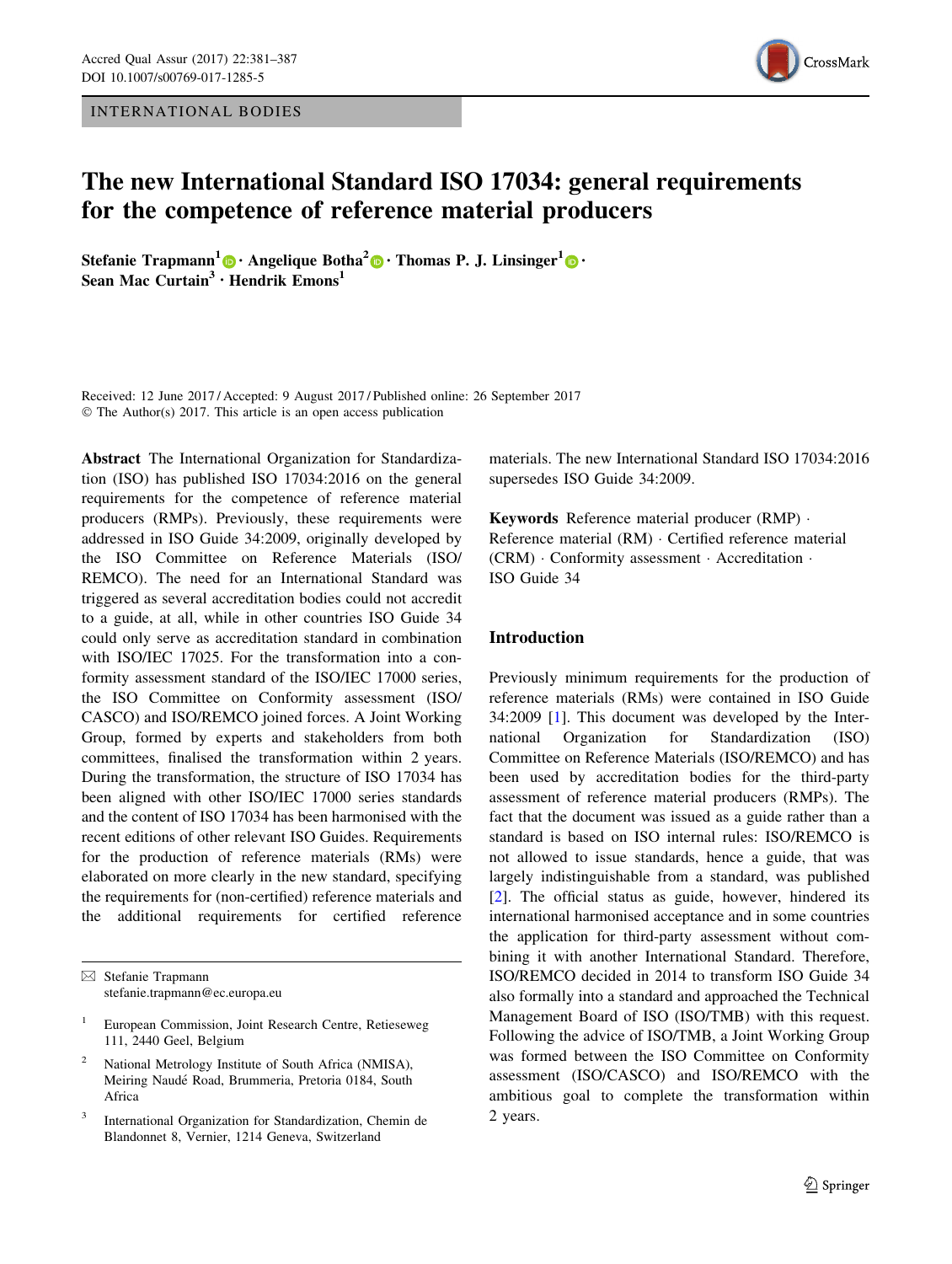INTERNATIONAL BODIES



# The new International Standard ISO 17034: general requirements for the competence of reference material producers

Stefanie Trapmann<sup>1</sup> [•](http://orcid.org/0000-0002-8465-7231) Angelique Botha<sup>2</sup> • Thomas P. J. Linsinger<sup>1</sup> • Sean Mac  $Curtain<sup>3</sup> \cdot Hendrik Emons<sup>1</sup>$ 

Received: 12 June 2017 / Accepted: 9 August 2017 / Published online: 26 September 2017 © The Author(s) 2017. This article is an open access publication

Abstract The International Organization for Standardization (ISO) has published ISO 17034:2016 on the general requirements for the competence of reference material producers (RMPs). Previously, these requirements were addressed in ISO Guide 34:2009, originally developed by the ISO Committee on Reference Materials (ISO/ REMCO). The need for an International Standard was triggered as several accreditation bodies could not accredit to a guide, at all, while in other countries ISO Guide 34 could only serve as accreditation standard in combination with ISO/IEC 17025. For the transformation into a conformity assessment standard of the ISO/IEC 17000 series, the ISO Committee on Conformity assessment (ISO/ CASCO) and ISO/REMCO joined forces. A Joint Working Group, formed by experts and stakeholders from both committees, finalised the transformation within 2 years. During the transformation, the structure of ISO 17034 has been aligned with other ISO/IEC 17000 series standards and the content of ISO 17034 has been harmonised with the recent editions of other relevant ISO Guides. Requirements for the production of reference materials (RMs) were elaborated on more clearly in the new standard, specifying the requirements for (non-certified) reference materials and the additional requirements for certified reference

materials. The new International Standard ISO 17034:2016 supersedes ISO Guide 34:2009.

Keywords Reference material producer (RMP) - Reference material (RM) - Certified reference material (CRM) - Conformity assessment - Accreditation - ISO Guide 34

# Introduction

Previously minimum requirements for the production of reference materials (RMs) were contained in ISO Guide 34:2009 [\[1](#page-6-0)]. This document was developed by the International Organization for Standardization (ISO) Committee on Reference Materials (ISO/REMCO) and has been used by accreditation bodies for the third-party assessment of reference material producers (RMPs). The fact that the document was issued as a guide rather than a standard is based on ISO internal rules: ISO/REMCO is not allowed to issue standards, hence a guide, that was largely indistinguishable from a standard, was published [\[2](#page-6-0)]. The official status as guide, however, hindered its international harmonised acceptance and in some countries the application for third-party assessment without combining it with another International Standard. Therefore, ISO/REMCO decided in 2014 to transform ISO Guide 34 also formally into a standard and approached the Technical Management Board of ISO (ISO/TMB) with this request. Following the advice of ISO/TMB, a Joint Working Group was formed between the ISO Committee on Conformity assessment (ISO/CASCO) and ISO/REMCO with the ambitious goal to complete the transformation within 2 years.

 $\boxtimes$  Stefanie Trapmann stefanie.trapmann@ec.europa.eu

<sup>&</sup>lt;sup>1</sup> European Commission, Joint Research Centre, Retieseweg 111, 2440 Geel, Belgium

National Metrology Institute of South Africa (NMISA), Meiring Naude´ Road, Brummeria, Pretoria 0184, South Africa

International Organization for Standardization, Chemin de Blandonnet 8, Vernier, 1214 Geneva, Switzerland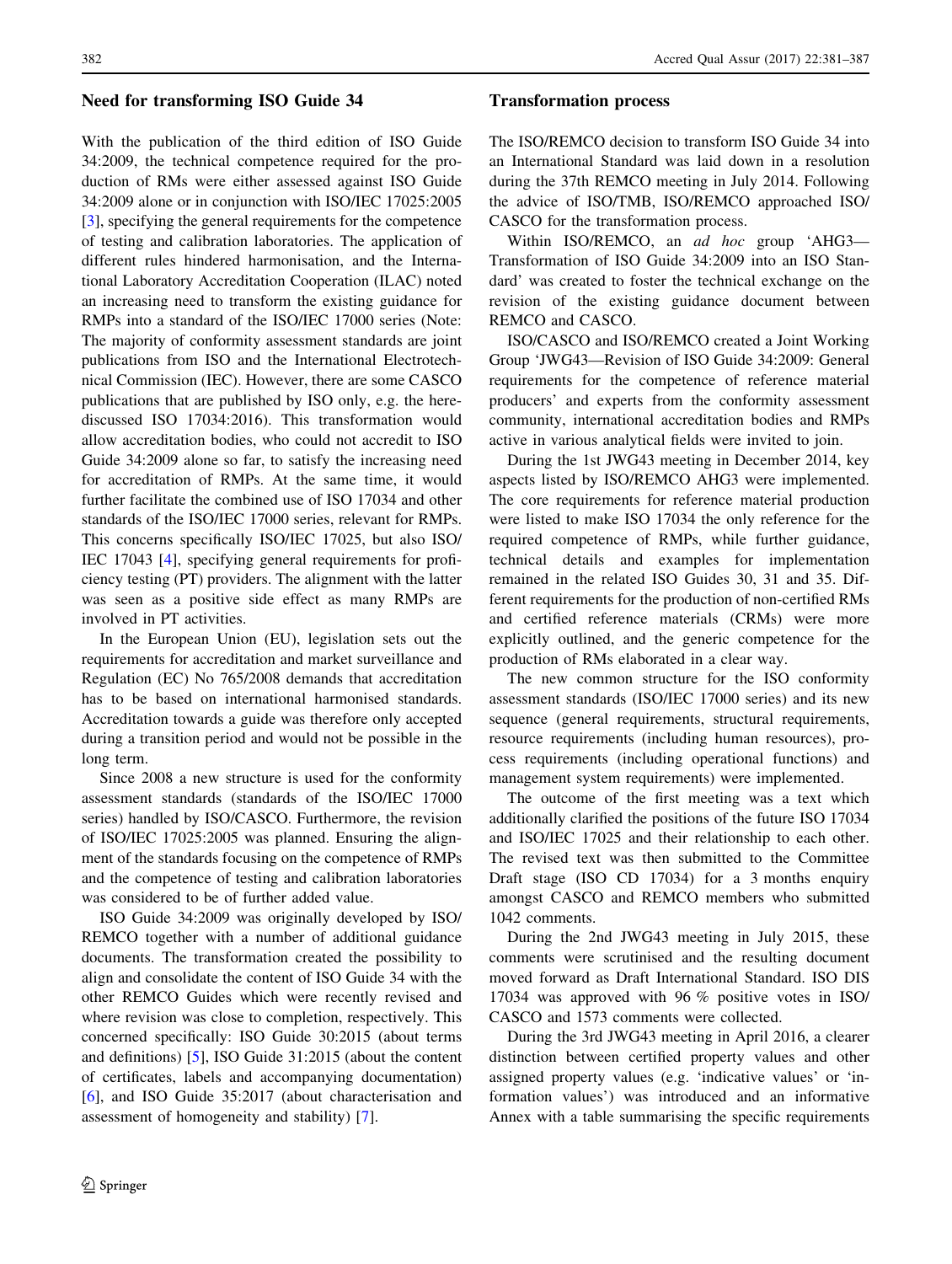# Need for transforming ISO Guide 34

With the publication of the third edition of ISO Guide 34:2009, the technical competence required for the production of RMs were either assessed against ISO Guide 34:2009 alone or in conjunction with ISO/IEC 17025:2005 [\[3](#page-6-0)], specifying the general requirements for the competence of testing and calibration laboratories. The application of different rules hindered harmonisation, and the International Laboratory Accreditation Cooperation (ILAC) noted an increasing need to transform the existing guidance for RMPs into a standard of the ISO/IEC 17000 series (Note: The majority of conformity assessment standards are joint publications from ISO and the International Electrotechnical Commission (IEC). However, there are some CASCO publications that are published by ISO only, e.g. the herediscussed ISO 17034:2016). This transformation would allow accreditation bodies, who could not accredit to ISO Guide 34:2009 alone so far, to satisfy the increasing need for accreditation of RMPs. At the same time, it would further facilitate the combined use of ISO 17034 and other standards of the ISO/IEC 17000 series, relevant for RMPs. This concerns specifically ISO/IEC 17025, but also ISO/ IEC 17043 [[4\]](#page-6-0), specifying general requirements for proficiency testing (PT) providers. The alignment with the latter was seen as a positive side effect as many RMPs are involved in PT activities.

In the European Union (EU), legislation sets out the requirements for accreditation and market surveillance and Regulation (EC) No 765/2008 demands that accreditation has to be based on international harmonised standards. Accreditation towards a guide was therefore only accepted during a transition period and would not be possible in the long term.

Since 2008 a new structure is used for the conformity assessment standards (standards of the ISO/IEC 17000 series) handled by ISO/CASCO. Furthermore, the revision of ISO/IEC 17025:2005 was planned. Ensuring the alignment of the standards focusing on the competence of RMPs and the competence of testing and calibration laboratories was considered to be of further added value.

ISO Guide 34:2009 was originally developed by ISO/ REMCO together with a number of additional guidance documents. The transformation created the possibility to align and consolidate the content of ISO Guide 34 with the other REMCO Guides which were recently revised and where revision was close to completion, respectively. This concerned specifically: ISO Guide 30:2015 (about terms and definitions) [\[5](#page-6-0)], ISO Guide 31:2015 (about the content of certificates, labels and accompanying documentation) [\[6](#page-6-0)], and ISO Guide 35:2017 (about characterisation and assessment of homogeneity and stability) [\[7](#page-6-0)].

# Transformation process

The ISO/REMCO decision to transform ISO Guide 34 into an International Standard was laid down in a resolution during the 37th REMCO meeting in July 2014. Following the advice of ISO/TMB, ISO/REMCO approached ISO/ CASCO for the transformation process.

Within ISO/REMCO, an ad hoc group 'AHG3-Transformation of ISO Guide 34:2009 into an ISO Standard' was created to foster the technical exchange on the revision of the existing guidance document between REMCO and CASCO.

ISO/CASCO and ISO/REMCO created a Joint Working Group 'JWG43—Revision of ISO Guide 34:2009: General requirements for the competence of reference material producers' and experts from the conformity assessment community, international accreditation bodies and RMPs active in various analytical fields were invited to join.

During the 1st JWG43 meeting in December 2014, key aspects listed by ISO/REMCO AHG3 were implemented. The core requirements for reference material production were listed to make ISO 17034 the only reference for the required competence of RMPs, while further guidance, technical details and examples for implementation remained in the related ISO Guides 30, 31 and 35. Different requirements for the production of non-certified RMs and certified reference materials (CRMs) were more explicitly outlined, and the generic competence for the production of RMs elaborated in a clear way.

The new common structure for the ISO conformity assessment standards (ISO/IEC 17000 series) and its new sequence (general requirements, structural requirements, resource requirements (including human resources), process requirements (including operational functions) and management system requirements) were implemented.

The outcome of the first meeting was a text which additionally clarified the positions of the future ISO 17034 and ISO/IEC 17025 and their relationship to each other. The revised text was then submitted to the Committee Draft stage (ISO CD 17034) for a 3 months enquiry amongst CASCO and REMCO members who submitted 1042 comments.

During the 2nd JWG43 meeting in July 2015, these comments were scrutinised and the resulting document moved forward as Draft International Standard. ISO DIS 17034 was approved with 96 % positive votes in ISO/ CASCO and 1573 comments were collected.

During the 3rd JWG43 meeting in April 2016, a clearer distinction between certified property values and other assigned property values (e.g. 'indicative values' or 'information values') was introduced and an informative Annex with a table summarising the specific requirements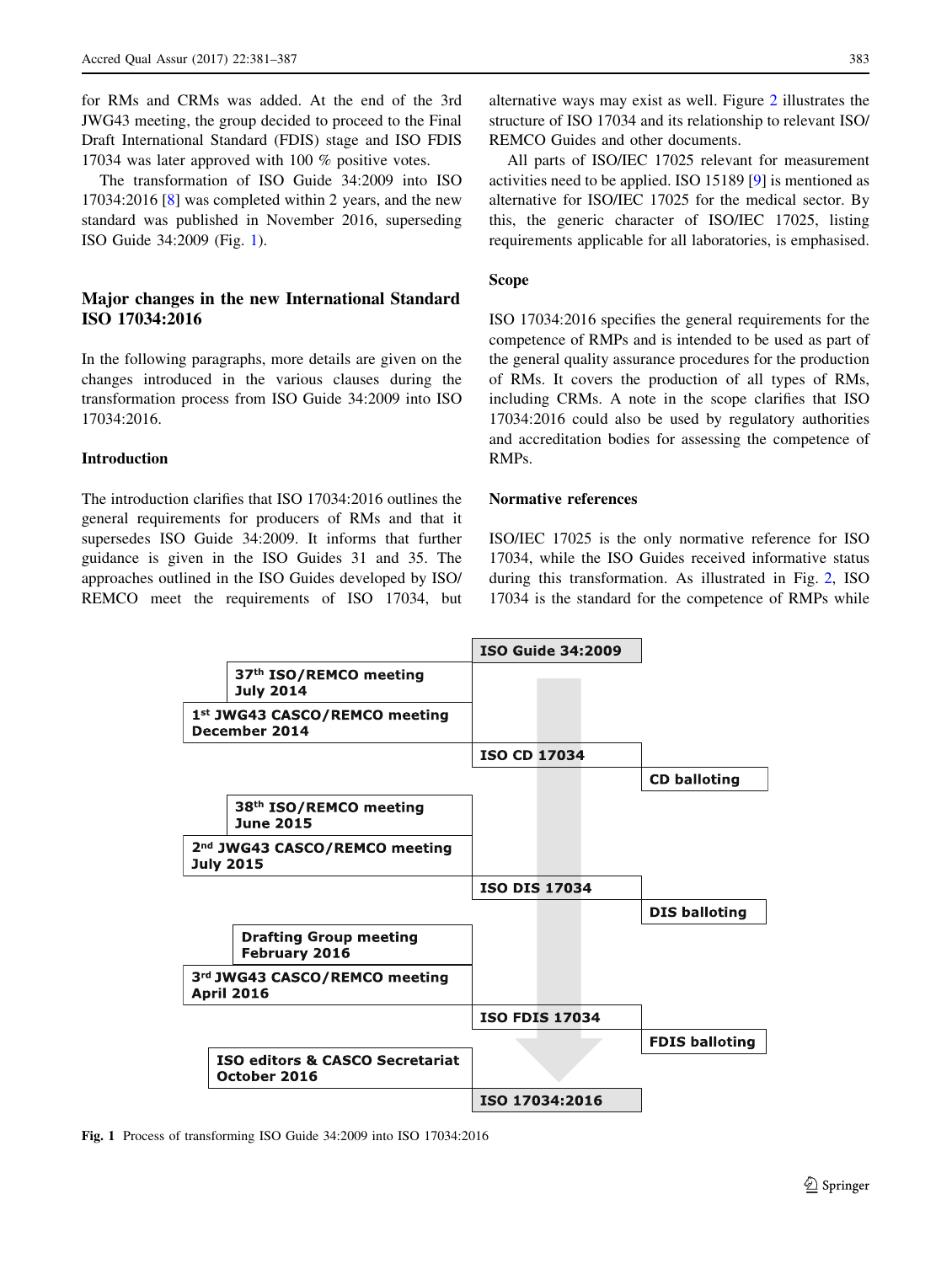for RMs and CRMs was added. At the end of the 3rd JWG43 meeting, the group decided to proceed to the Final Draft International Standard (FDIS) stage and ISO FDIS 17034 was later approved with 100 % positive votes.

The transformation of ISO Guide 34:2009 into ISO 17034:2016 [[8\]](#page-6-0) was completed within 2 years, and the new standard was published in November 2016, superseding ISO Guide 34:2009 (Fig. 1).

# Major changes in the new International Standard ISO 17034:2016

In the following paragraphs, more details are given on the changes introduced in the various clauses during the transformation process from ISO Guide 34:2009 into ISO 17034:2016.

#### Introduction

The introduction clarifies that ISO 17034:2016 outlines the general requirements for producers of RMs and that it supersedes ISO Guide 34:2009. It informs that further guidance is given in the ISO Guides 31 and 35. The approaches outlined in the ISO Guides developed by ISO/ REMCO meet the requirements of ISO 17034, but alternative ways may exist as well. Figure [2](#page-3-0) illustrates the structure of ISO 17034 and its relationship to relevant ISO/ REMCO Guides and other documents.

All parts of ISO/IEC 17025 relevant for measurement activities need to be applied. ISO 15189 [[9\]](#page-6-0) is mentioned as alternative for ISO/IEC 17025 for the medical sector. By this, the generic character of ISO/IEC 17025, listing requirements applicable for all laboratories, is emphasised.

## Scope

ISO 17034:2016 specifies the general requirements for the competence of RMPs and is intended to be used as part of the general quality assurance procedures for the production of RMs. It covers the production of all types of RMs, including CRMs. A note in the scope clarifies that ISO 17034:2016 could also be used by regulatory authorities and accreditation bodies for assessing the competence of RMPs.

# Normative references

ISO/IEC 17025 is the only normative reference for ISO 17034, while the ISO Guides received informative status during this transformation. As illustrated in Fig. [2,](#page-3-0) ISO 17034 is the standard for the competence of RMPs while



Fig. 1 Process of transforming ISO Guide 34:2009 into ISO 17034:2016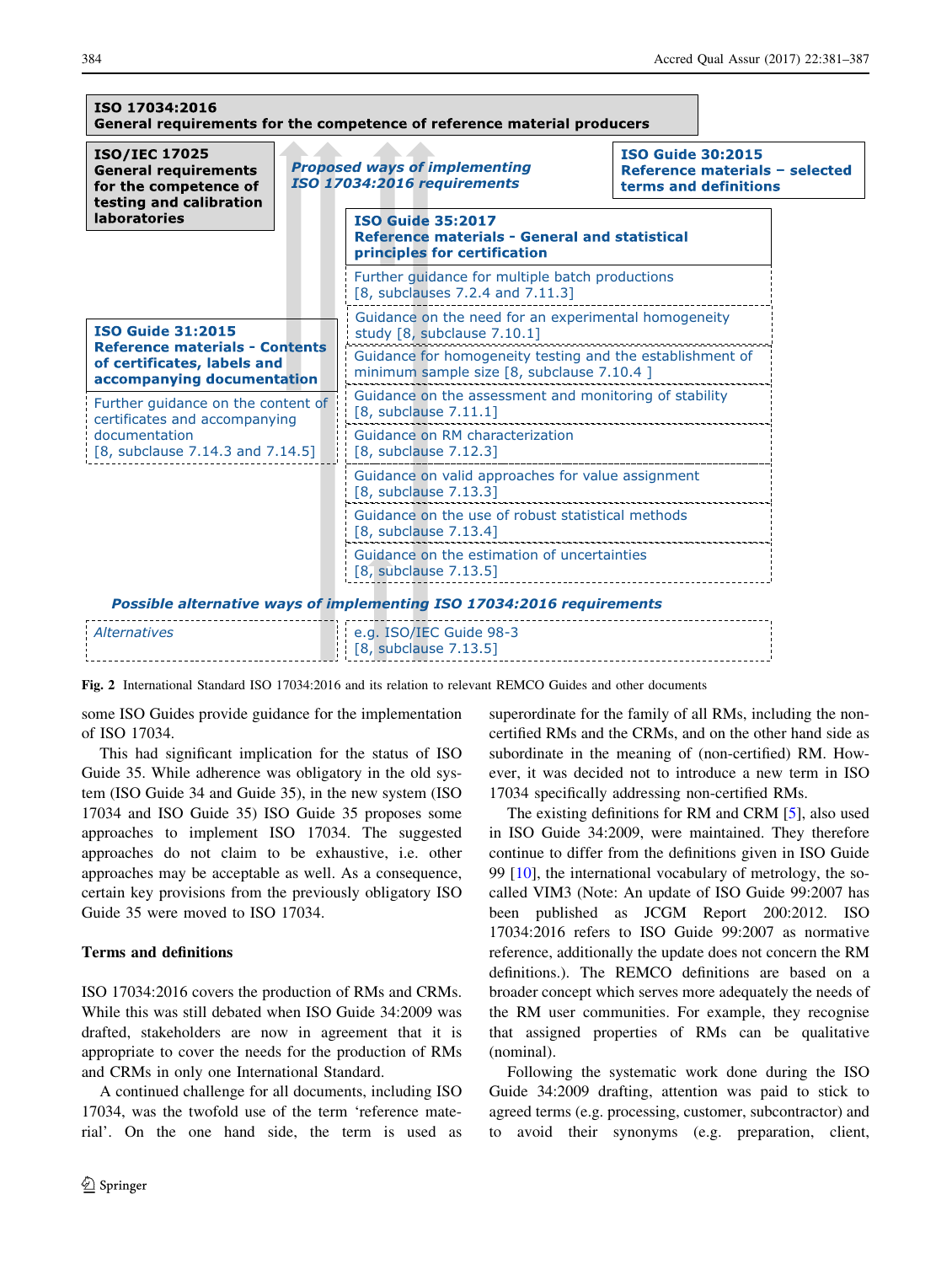<span id="page-3-0"></span>

| ISO 17034:2016                                                                                                             |  | General requirements for the competence of reference material producers                                          |                                                                                     |  |
|----------------------------------------------------------------------------------------------------------------------------|--|------------------------------------------------------------------------------------------------------------------|-------------------------------------------------------------------------------------|--|
| <b>ISO/IEC 17025</b><br><b>General requirements</b><br>for the competence of<br>testing and calibration                    |  | <b>Proposed ways of implementing</b><br>ISO 17034:2016 requirements                                              | <b>ISO Guide 30:2015</b><br>Reference materials - selected<br>terms and definitions |  |
| <b>laboratories</b>                                                                                                        |  | <b>ISO Guide 35:2017</b><br><b>Reference materials - General and statistical</b><br>principles for certification |                                                                                     |  |
|                                                                                                                            |  | Further guidance for multiple batch productions<br>$[8,$ subclauses 7.2.4 and 7.11.3]                            |                                                                                     |  |
| <b>ISO Guide 31:2015</b><br><b>Reference materials - Contents</b>                                                          |  | Guidance on the need for an experimental homogeneity<br>study [8, subclause 7.10.1]                              |                                                                                     |  |
| of certificates, labels and<br>accompanying documentation                                                                  |  | Guidance for homogeneity testing and the establishment of<br>minimum sample size [8, subclause 7.10.4 ]          |                                                                                     |  |
| Further quidance on the content of<br>certificates and accompanying<br>documentation<br>$[8,$ subclause 7.14.3 and 7.14.5] |  | Guidance on the assessment and monitoring of stability<br>[8, subclause 7.11.1]                                  |                                                                                     |  |
|                                                                                                                            |  | Guidance on RM characterization<br>[8, subclause 7.12.3]                                                         |                                                                                     |  |
|                                                                                                                            |  | Guidance on valid approaches for value assignment<br>[8, subclause 7.13.3]                                       |                                                                                     |  |
|                                                                                                                            |  | Guidance on the use of robust statistical methods<br>[8, subclause 7.13.4]                                       |                                                                                     |  |
|                                                                                                                            |  | Guidance on the estimation of uncertainties<br>$[8,$ subclause $7.13.5]$                                         |                                                                                     |  |
|                                                                                                                            |  | Possible alternative ways of implementing ISO 17034:2016 requirements                                            |                                                                                     |  |
| <b>Alternatives</b>                                                                                                        |  | e.g. ISO/IEC Guide 98-3<br>[8, subclause 7.13.5]                                                                 |                                                                                     |  |

Fig. 2 International Standard ISO 17034:2016 and its relation to relevant REMCO Guides and other documents

some ISO Guides provide guidance for the implementation of ISO 17034.

This had significant implication for the status of ISO Guide 35. While adherence was obligatory in the old system (ISO Guide 34 and Guide 35), in the new system (ISO 17034 and ISO Guide 35) ISO Guide 35 proposes some approaches to implement ISO 17034. The suggested approaches do not claim to be exhaustive, i.e. other approaches may be acceptable as well. As a consequence, certain key provisions from the previously obligatory ISO Guide 35 were moved to ISO 17034.

## Terms and definitions

ISO 17034:2016 covers the production of RMs and CRMs. While this was still debated when ISO Guide 34:2009 was drafted, stakeholders are now in agreement that it is appropriate to cover the needs for the production of RMs and CRMs in only one International Standard.

A continued challenge for all documents, including ISO 17034, was the twofold use of the term 'reference material'. On the one hand side, the term is used as superordinate for the family of all RMs, including the noncertified RMs and the CRMs, and on the other hand side as subordinate in the meaning of (non-certified) RM. However, it was decided not to introduce a new term in ISO 17034 specifically addressing non-certified RMs.

The existing definitions for RM and CRM [\[5](#page-6-0)], also used in ISO Guide 34:2009, were maintained. They therefore continue to differ from the definitions given in ISO Guide 99 [[10\]](#page-6-0), the international vocabulary of metrology, the socalled VIM3 (Note: An update of ISO Guide 99:2007 has been published as JCGM Report 200:2012. ISO 17034:2016 refers to ISO Guide 99:2007 as normative reference, additionally the update does not concern the RM definitions.). The REMCO definitions are based on a broader concept which serves more adequately the needs of the RM user communities. For example, they recognise that assigned properties of RMs can be qualitative (nominal).

Following the systematic work done during the ISO Guide 34:2009 drafting, attention was paid to stick to agreed terms (e.g. processing, customer, subcontractor) and to avoid their synonyms (e.g. preparation, client,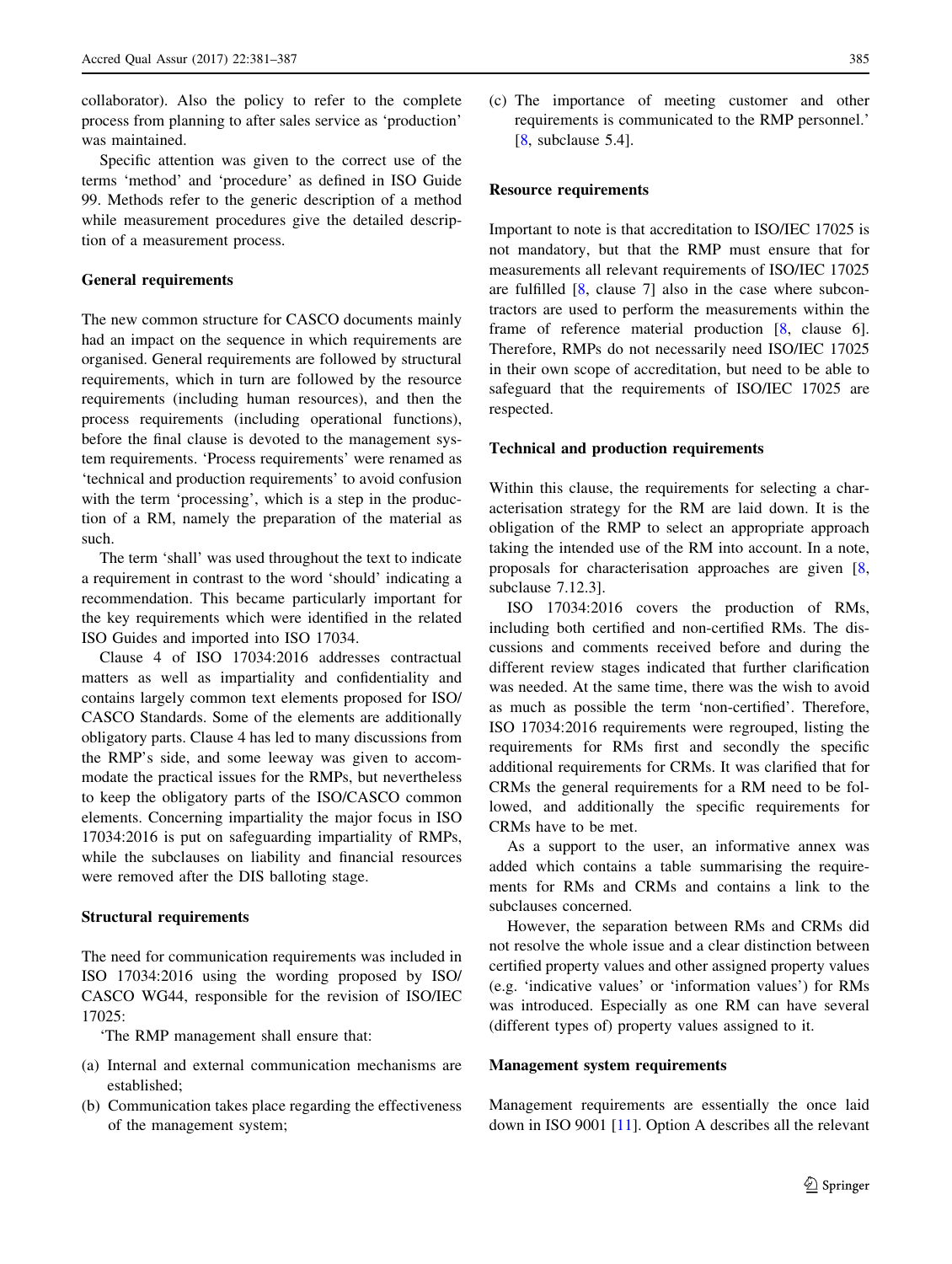collaborator). Also the policy to refer to the complete process from planning to after sales service as 'production' was maintained.

Specific attention was given to the correct use of the terms 'method' and 'procedure' as defined in ISO Guide 99. Methods refer to the generic description of a method while measurement procedures give the detailed description of a measurement process.

#### General requirements

The new common structure for CASCO documents mainly had an impact on the sequence in which requirements are organised. General requirements are followed by structural requirements, which in turn are followed by the resource requirements (including human resources), and then the process requirements (including operational functions), before the final clause is devoted to the management system requirements. 'Process requirements' were renamed as 'technical and production requirements' to avoid confusion with the term 'processing', which is a step in the production of a RM, namely the preparation of the material as such.

The term 'shall' was used throughout the text to indicate a requirement in contrast to the word 'should' indicating a recommendation. This became particularly important for the key requirements which were identified in the related ISO Guides and imported into ISO 17034.

Clause 4 of ISO 17034:2016 addresses contractual matters as well as impartiality and confidentiality and contains largely common text elements proposed for ISO/ CASCO Standards. Some of the elements are additionally obligatory parts. Clause 4 has led to many discussions from the RMP's side, and some leeway was given to accommodate the practical issues for the RMPs, but nevertheless to keep the obligatory parts of the ISO/CASCO common elements. Concerning impartiality the major focus in ISO 17034:2016 is put on safeguarding impartiality of RMPs, while the subclauses on liability and financial resources were removed after the DIS balloting stage.

#### Structural requirements

The need for communication requirements was included in ISO 17034:2016 using the wording proposed by ISO/ CASCO WG44, responsible for the revision of ISO/IEC 17025:

'The RMP management shall ensure that:

- (a) Internal and external communication mechanisms are established;
- (b) Communication takes place regarding the effectiveness of the management system;

(c) The importance of meeting customer and other requirements is communicated to the RMP personnel.' [[8,](#page-6-0) subclause 5.4].

## Resource requirements

Important to note is that accreditation to ISO/IEC 17025 is not mandatory, but that the RMP must ensure that for measurements all relevant requirements of ISO/IEC 17025 are fulfilled [[8,](#page-6-0) clause 7] also in the case where subcontractors are used to perform the measurements within the frame of reference material production [[8,](#page-6-0) clause 6]. Therefore, RMPs do not necessarily need ISO/IEC 17025 in their own scope of accreditation, but need to be able to safeguard that the requirements of ISO/IEC 17025 are respected.

#### Technical and production requirements

Within this clause, the requirements for selecting a characterisation strategy for the RM are laid down. It is the obligation of the RMP to select an appropriate approach taking the intended use of the RM into account. In a note, proposals for characterisation approaches are given [[8,](#page-6-0) subclause 7.12.3].

ISO 17034:2016 covers the production of RMs, including both certified and non-certified RMs. The discussions and comments received before and during the different review stages indicated that further clarification was needed. At the same time, there was the wish to avoid as much as possible the term 'non-certified'. Therefore, ISO 17034:2016 requirements were regrouped, listing the requirements for RMs first and secondly the specific additional requirements for CRMs. It was clarified that for CRMs the general requirements for a RM need to be followed, and additionally the specific requirements for CRMs have to be met.

As a support to the user, an informative annex was added which contains a table summarising the requirements for RMs and CRMs and contains a link to the subclauses concerned.

However, the separation between RMs and CRMs did not resolve the whole issue and a clear distinction between certified property values and other assigned property values (e.g. 'indicative values' or 'information values') for RMs was introduced. Especially as one RM can have several (different types of) property values assigned to it.

# Management system requirements

Management requirements are essentially the once laid down in ISO 9001 [[11\]](#page-6-0). Option A describes all the relevant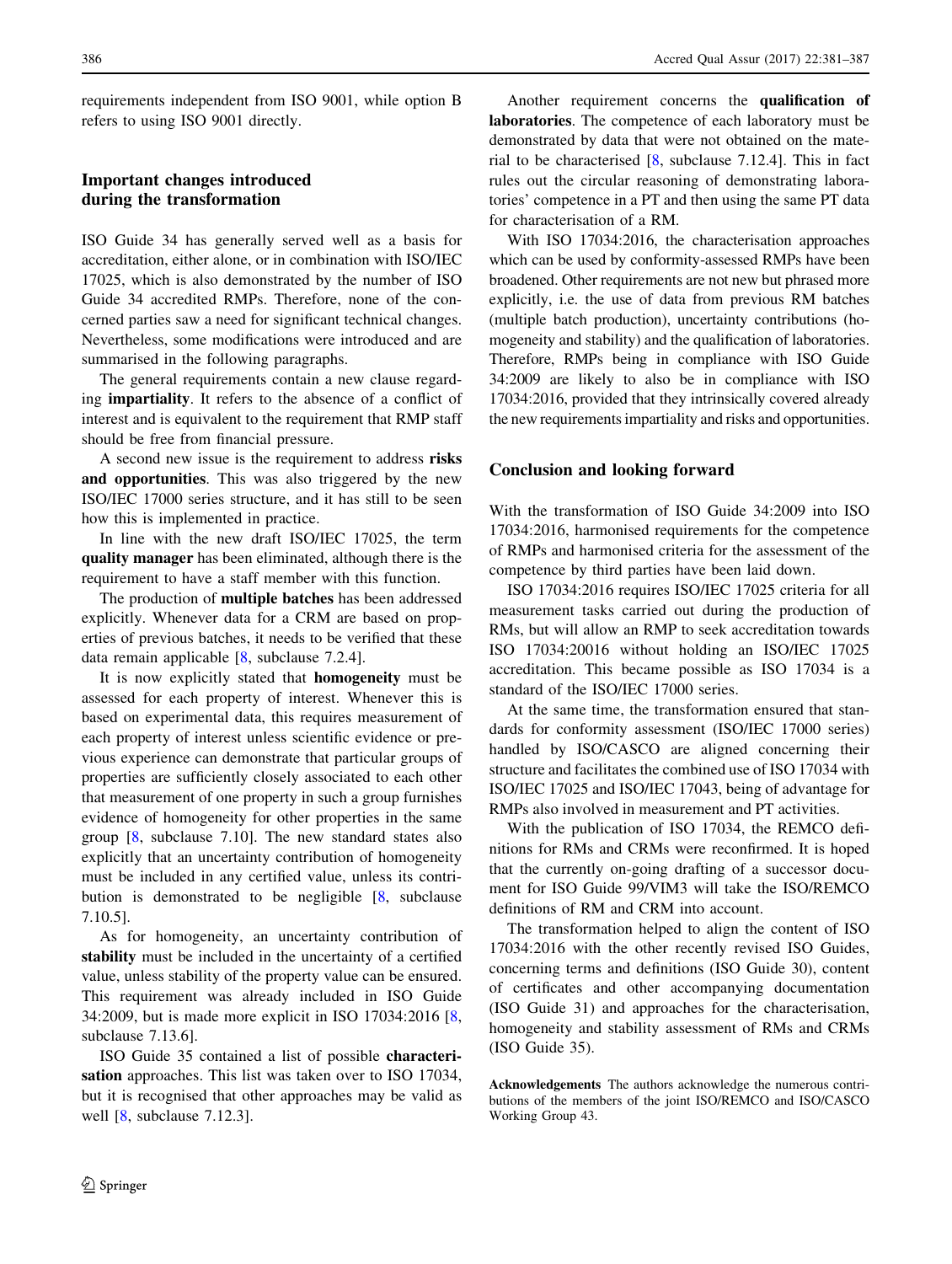requirements independent from ISO 9001, while option B refers to using ISO 9001 directly.

# Important changes introduced during the transformation

ISO Guide 34 has generally served well as a basis for accreditation, either alone, or in combination with ISO/IEC 17025, which is also demonstrated by the number of ISO Guide 34 accredited RMPs. Therefore, none of the concerned parties saw a need for significant technical changes. Nevertheless, some modifications were introduced and are summarised in the following paragraphs.

The general requirements contain a new clause regarding impartiality. It refers to the absence of a conflict of interest and is equivalent to the requirement that RMP staff should be free from financial pressure.

A second new issue is the requirement to address risks and opportunities. This was also triggered by the new ISO/IEC 17000 series structure, and it has still to be seen how this is implemented in practice.

In line with the new draft ISO/IEC 17025, the term quality manager has been eliminated, although there is the requirement to have a staff member with this function.

The production of multiple batches has been addressed explicitly. Whenever data for a CRM are based on properties of previous batches, it needs to be verified that these data remain applicable [\[8](#page-6-0), subclause 7.2.4].

It is now explicitly stated that homogeneity must be assessed for each property of interest. Whenever this is based on experimental data, this requires measurement of each property of interest unless scientific evidence or previous experience can demonstrate that particular groups of properties are sufficiently closely associated to each other that measurement of one property in such a group furnishes evidence of homogeneity for other properties in the same group [\[8](#page-6-0), subclause 7.10]. The new standard states also explicitly that an uncertainty contribution of homogeneity must be included in any certified value, unless its contribution is demonstrated to be negligible [\[8](#page-6-0), subclause 7.10.5].

As for homogeneity, an uncertainty contribution of stability must be included in the uncertainty of a certified value, unless stability of the property value can be ensured. This requirement was already included in ISO Guide 34:2009, but is made more explicit in ISO 17034:2016 [[8,](#page-6-0) subclause 7.13.6].

ISO Guide 35 contained a list of possible characterisation approaches. This list was taken over to ISO 17034, but it is recognised that other approaches may be valid as well  $[8,$  $[8,$  subclause 7.12.3].

Another requirement concerns the qualification of laboratories. The competence of each laboratory must be demonstrated by data that were not obtained on the material to be characterised [[8,](#page-6-0) subclause 7.12.4]. This in fact rules out the circular reasoning of demonstrating laboratories' competence in a PT and then using the same PT data for characterisation of a RM.

With ISO 17034:2016, the characterisation approaches which can be used by conformity-assessed RMPs have been broadened. Other requirements are not new but phrased more explicitly, i.e. the use of data from previous RM batches (multiple batch production), uncertainty contributions (homogeneity and stability) and the qualification of laboratories. Therefore, RMPs being in compliance with ISO Guide 34:2009 are likely to also be in compliance with ISO 17034:2016, provided that they intrinsically covered already the new requirements impartiality and risks and opportunities.

# Conclusion and looking forward

With the transformation of ISO Guide 34:2009 into ISO 17034:2016, harmonised requirements for the competence of RMPs and harmonised criteria for the assessment of the competence by third parties have been laid down.

ISO 17034:2016 requires ISO/IEC 17025 criteria for all measurement tasks carried out during the production of RMs, but will allow an RMP to seek accreditation towards ISO 17034:20016 without holding an ISO/IEC 17025 accreditation. This became possible as ISO 17034 is a standard of the ISO/IEC 17000 series.

At the same time, the transformation ensured that standards for conformity assessment (ISO/IEC 17000 series) handled by ISO/CASCO are aligned concerning their structure and facilitates the combined use of ISO 17034 with ISO/IEC 17025 and ISO/IEC 17043, being of advantage for RMPs also involved in measurement and PT activities.

With the publication of ISO 17034, the REMCO definitions for RMs and CRMs were reconfirmed. It is hoped that the currently on-going drafting of a successor document for ISO Guide 99/VIM3 will take the ISO/REMCO definitions of RM and CRM into account.

The transformation helped to align the content of ISO 17034:2016 with the other recently revised ISO Guides, concerning terms and definitions (ISO Guide 30), content of certificates and other accompanying documentation (ISO Guide 31) and approaches for the characterisation, homogeneity and stability assessment of RMs and CRMs (ISO Guide 35).

Acknowledgements The authors acknowledge the numerous contributions of the members of the joint ISO/REMCO and ISO/CASCO Working Group 43.